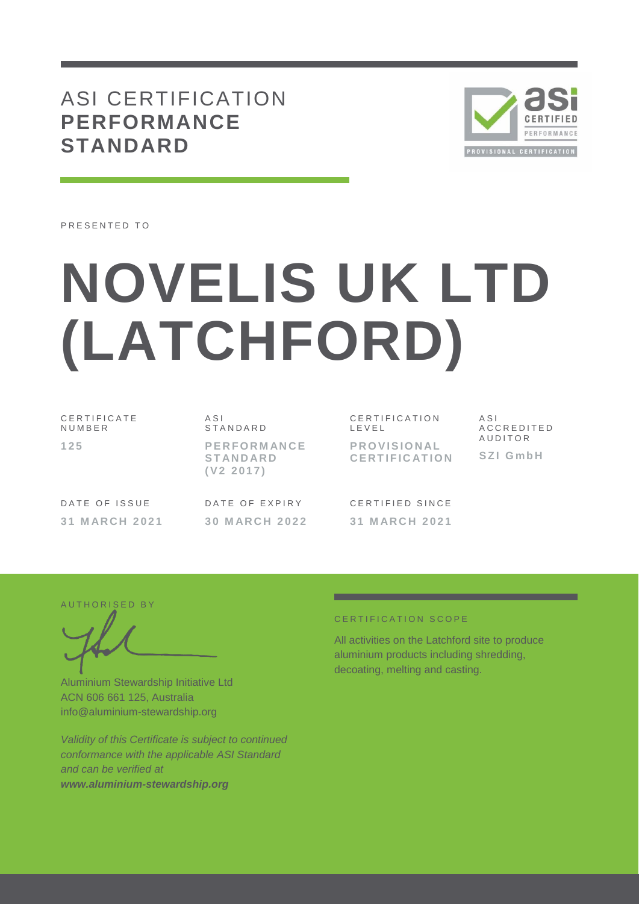## ASI CERTIFICATION **PERFORMANCE STANDARD**



PRESENTED TO

# **NOVELIS UK LTD (LATCHFORD)**

C E R T I F I C A T E **NUMBER 1 2 5**

A S I **STANDARD P E R F O R M AN C E S T AN D AR D ( V 2 2 0 1 7 )**

CERTIFICATION L E V E L **P R O V I S I O N AL C E R T I F I C AT I O N** A S I A C C R E D I T E D A U D I T O R **S Z I G m b H**

DATE OF ISSUE **3 1 M AR C H 2 0 2 1** DATE OF EXPIRY **3 0 M AR C H 2 0 2 2** CERTIFIED SINCE **3 1 M AR C H 2021**

AUTHORISED BY

Aluminium Stewardship Initiative Ltd ACN 606 661 125, Australia info@aluminium-stewardship.org

*Validity of this Certificate is subject to continued conformance with the applicable ASI Standard and can be verified at www.aluminium-stewardship.org*

#### CERTIFICATION SCOPE

All activities on the Latchford site to produce aluminium products including shredding, decoating, melting and casting.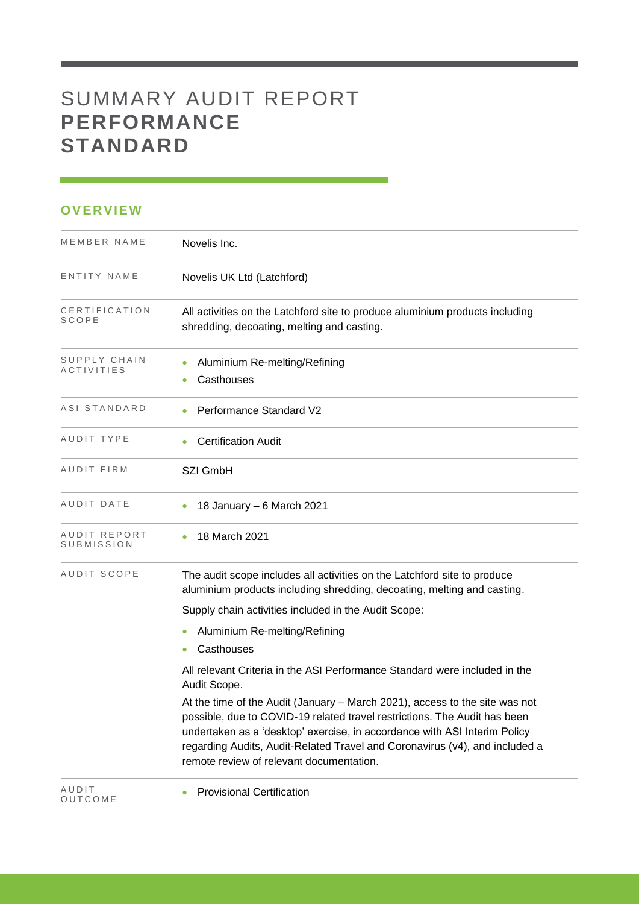# SUMMARY AUDIT REPORT **PERFORMANCE STANDARD**

### **OVERVIEW**

O U T C O M E

| MEMBER NAME                   | Novelis Inc.                                                                                                                                                                                                                                                                                                                                                     |
|-------------------------------|------------------------------------------------------------------------------------------------------------------------------------------------------------------------------------------------------------------------------------------------------------------------------------------------------------------------------------------------------------------|
| ENTITY NAME                   | Novelis UK Ltd (Latchford)                                                                                                                                                                                                                                                                                                                                       |
| CERTIFICATION<br><b>SCOPE</b> | All activities on the Latchford site to produce aluminium products including<br>shredding, decoating, melting and casting.                                                                                                                                                                                                                                       |
| SUPPLY CHAIN<br>ACTIVITIES    | Aluminium Re-melting/Refining<br>Casthouses                                                                                                                                                                                                                                                                                                                      |
| ASI STANDARD                  | <b>Performance Standard V2</b>                                                                                                                                                                                                                                                                                                                                   |
| AUDIT TYPE                    | <b>Certification Audit</b>                                                                                                                                                                                                                                                                                                                                       |
| AUDIT FIRM                    | SZI GmbH                                                                                                                                                                                                                                                                                                                                                         |
| AUDIT DATE                    | 18 January - 6 March 2021                                                                                                                                                                                                                                                                                                                                        |
| AUDIT REPORT<br>SUBMISSION    | 18 March 2021                                                                                                                                                                                                                                                                                                                                                    |
| AUDIT SCOPE                   | The audit scope includes all activities on the Latchford site to produce<br>aluminium products including shredding, decoating, melting and casting.                                                                                                                                                                                                              |
|                               | Supply chain activities included in the Audit Scope:                                                                                                                                                                                                                                                                                                             |
|                               | Aluminium Re-melting/Refining                                                                                                                                                                                                                                                                                                                                    |
|                               | Casthouses                                                                                                                                                                                                                                                                                                                                                       |
|                               | All relevant Criteria in the ASI Performance Standard were included in the<br>Audit Scope.                                                                                                                                                                                                                                                                       |
|                               | At the time of the Audit (January – March 2021), access to the site was not<br>possible, due to COVID-19 related travel restrictions. The Audit has been<br>undertaken as a 'desktop' exercise, in accordance with ASI Interim Policy<br>regarding Audits, Audit-Related Travel and Coronavirus (v4), and included a<br>remote review of relevant documentation. |
| AUDIT                         | <b>Provisional Certification</b>                                                                                                                                                                                                                                                                                                                                 |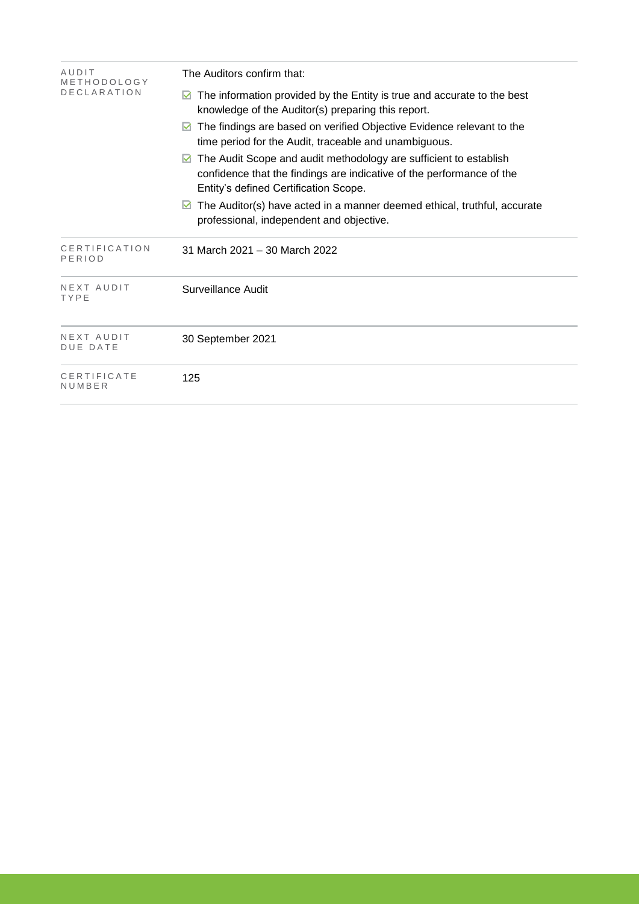| AUDIT<br>METHODOLOGY          | The Auditors confirm that:                                                                                                                                                                                                                                                                                                      |  |  |  |  |
|-------------------------------|---------------------------------------------------------------------------------------------------------------------------------------------------------------------------------------------------------------------------------------------------------------------------------------------------------------------------------|--|--|--|--|
| <b>DECLARATION</b>            | The information provided by the Entity is true and accurate to the best<br>M<br>knowledge of the Auditor(s) preparing this report.                                                                                                                                                                                              |  |  |  |  |
|                               | The findings are based on verified Objective Evidence relevant to the<br>M<br>time period for the Audit, traceable and unambiguous.<br>The Audit Scope and audit methodology are sufficient to establish<br>М<br>confidence that the findings are indicative of the performance of the<br>Entity's defined Certification Scope. |  |  |  |  |
|                               |                                                                                                                                                                                                                                                                                                                                 |  |  |  |  |
|                               | The Auditor(s) have acted in a manner deemed ethical, truthful, accurate<br>М<br>professional, independent and objective.                                                                                                                                                                                                       |  |  |  |  |
| CERTIFICATION<br>PERIOD       | 31 March 2021 - 30 March 2022                                                                                                                                                                                                                                                                                                   |  |  |  |  |
| NEXT AUDIT<br>TYPE            | Surveillance Audit                                                                                                                                                                                                                                                                                                              |  |  |  |  |
| NEXT AUDIT<br><b>DUE DATE</b> | 30 September 2021                                                                                                                                                                                                                                                                                                               |  |  |  |  |
| CERTIFICATE<br>NUMBER         | 125                                                                                                                                                                                                                                                                                                                             |  |  |  |  |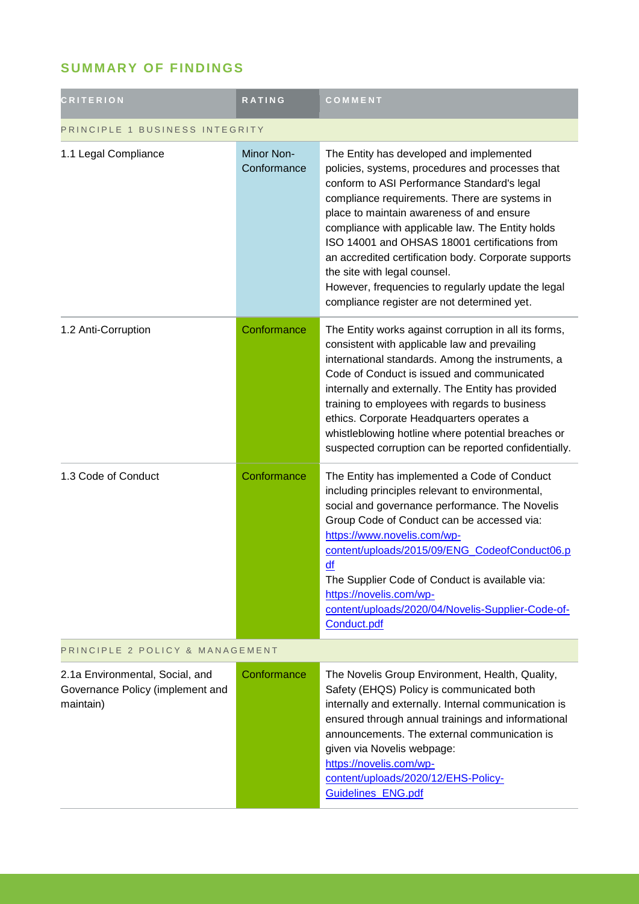## **SUMMARY OF FINDINGS**

| <b>CRITERION</b>                                                                 | <b>RATING</b>                    | COMMENT                                                                                                                                                                                                                                                                                                                                                                                                                                                                                                                                     |  |
|----------------------------------------------------------------------------------|----------------------------------|---------------------------------------------------------------------------------------------------------------------------------------------------------------------------------------------------------------------------------------------------------------------------------------------------------------------------------------------------------------------------------------------------------------------------------------------------------------------------------------------------------------------------------------------|--|
| PRINCIPLE 1 BUSINESS INTEGRITY                                                   |                                  |                                                                                                                                                                                                                                                                                                                                                                                                                                                                                                                                             |  |
| 1.1 Legal Compliance                                                             | <b>Minor Non-</b><br>Conformance | The Entity has developed and implemented<br>policies, systems, procedures and processes that<br>conform to ASI Performance Standard's legal<br>compliance requirements. There are systems in<br>place to maintain awareness of and ensure<br>compliance with applicable law. The Entity holds<br>ISO 14001 and OHSAS 18001 certifications from<br>an accredited certification body. Corporate supports<br>the site with legal counsel.<br>However, frequencies to regularly update the legal<br>compliance register are not determined yet. |  |
| 1.2 Anti-Corruption                                                              | Conformance                      | The Entity works against corruption in all its forms,<br>consistent with applicable law and prevailing<br>international standards. Among the instruments, a<br>Code of Conduct is issued and communicated<br>internally and externally. The Entity has provided<br>training to employees with regards to business<br>ethics. Corporate Headquarters operates a<br>whistleblowing hotline where potential breaches or<br>suspected corruption can be reported confidentially.                                                                |  |
| 1.3 Code of Conduct                                                              | Conformance                      | The Entity has implemented a Code of Conduct<br>including principles relevant to environmental,<br>social and governance performance. The Novelis<br>Group Code of Conduct can be accessed via:<br>https://www.novelis.com/wp-<br>content/uploads/2015/09/ENG_CodeofConduct06.p<br>df<br>The Supplier Code of Conduct is available via:<br>https://novelis.com/wp-<br>content/uploads/2020/04/Novelis-Supplier-Code-of-<br>Conduct.pdf                                                                                                      |  |
| PRINCIPLE 2 POLICY & MANAGEMENT                                                  |                                  |                                                                                                                                                                                                                                                                                                                                                                                                                                                                                                                                             |  |
| 2.1a Environmental, Social, and<br>Governance Policy (implement and<br>maintain) | Conformance                      | The Novelis Group Environment, Health, Quality,<br>Safety (EHQS) Policy is communicated both<br>internally and externally. Internal communication is<br>ensured through annual trainings and informational<br>announcements. The external communication is<br>given via Novelis webpage:<br>https://novelis.com/wp-<br>content/uploads/2020/12/EHS-Policy-<br>Guidelines_ENG.pdf                                                                                                                                                            |  |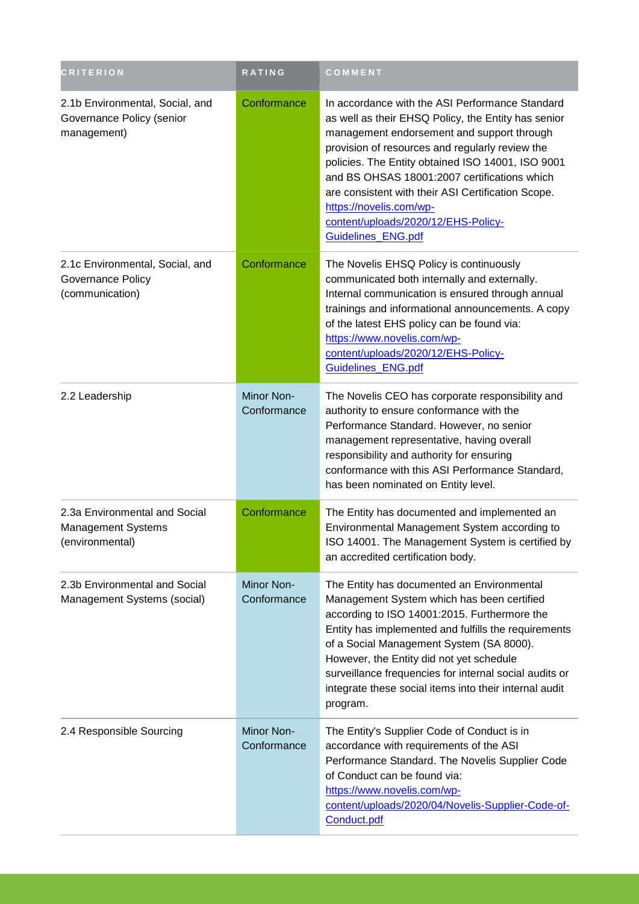| <b>CRITERION</b>                                                              | <b>RATING</b>             | COMMENT                                                                                                                                                                                                                                                                                                                                                                                                                                                    |
|-------------------------------------------------------------------------------|---------------------------|------------------------------------------------------------------------------------------------------------------------------------------------------------------------------------------------------------------------------------------------------------------------------------------------------------------------------------------------------------------------------------------------------------------------------------------------------------|
| 2.1b Environmental, Social, and<br>Governance Policy (senior<br>management)   | Conformance               | In accordance with the ASI Performance Standard<br>as well as their EHSQ Policy, the Entity has senior<br>management endorsement and support through<br>provision of resources and regularly review the<br>policies. The Entity obtained ISO 14001, ISO 9001<br>and BS OHSAS 18001:2007 certifications which<br>are consistent with their ASI Certification Scope.<br>https://novelis.com/wp-<br>content/uploads/2020/12/EHS-Policy-<br>Guidelines_ENG.pdf |
| 2.1c Environmental, Social, and<br>Governance Policy<br>(communication)       | Conformance               | The Novelis EHSQ Policy is continuously<br>communicated both internally and externally.<br>Internal communication is ensured through annual<br>trainings and informational announcements. A copy<br>of the latest EHS policy can be found via:<br>https://www.novelis.com/wp-<br>content/uploads/2020/12/EHS-Policy-<br>Guidelines_ENG.pdf                                                                                                                 |
| 2.2 Leadership                                                                | Minor Non-<br>Conformance | The Novelis CEO has corporate responsibility and<br>authority to ensure conformance with the<br>Performance Standard. However, no senior<br>management representative, having overall<br>responsibility and authority for ensuring<br>conformance with this ASI Performance Standard,<br>has been nominated on Entity level.                                                                                                                               |
| 2.3a Environmental and Social<br><b>Management Systems</b><br>(environmental) | Conformance               | The Entity has documented and implemented an<br>Environmental Management System according to<br>ISO 14001. The Management System is certified by<br>an accredited certification body.                                                                                                                                                                                                                                                                      |
| 2.3b Environmental and Social<br>Management Systems (social)                  | Minor Non-<br>Conformance | The Entity has documented an Environmental<br>Management System which has been certified<br>according to ISO 14001:2015. Furthermore the<br>Entity has implemented and fulfills the requirements<br>of a Social Management System (SA 8000).<br>However, the Entity did not yet schedule<br>surveillance frequencies for internal social audits or<br>integrate these social items into their internal audit<br>program.                                   |
| 2.4 Responsible Sourcing                                                      | Minor Non-<br>Conformance | The Entity's Supplier Code of Conduct is in<br>accordance with requirements of the ASI<br>Performance Standard. The Novelis Supplier Code<br>of Conduct can be found via:<br>https://www.novelis.com/wp-<br>content/uploads/2020/04/Novelis-Supplier-Code-of-<br>Conduct.pdf                                                                                                                                                                               |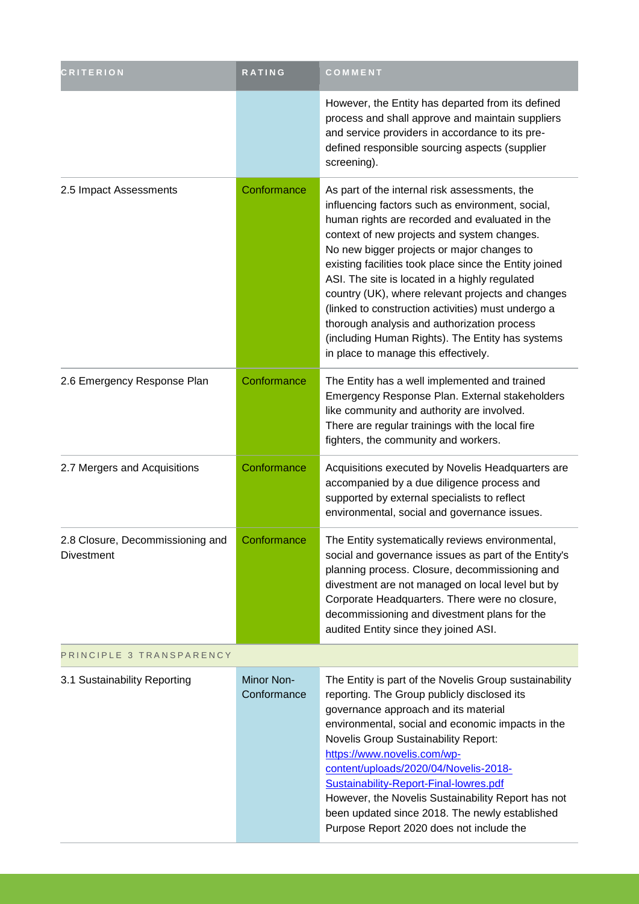| <b>CRITERION</b>                               | <b>RATING</b>             | COMMENT                                                                                                                                                                                                                                                                                                                                                                                                                                                                                                                                                                                                            |  |
|------------------------------------------------|---------------------------|--------------------------------------------------------------------------------------------------------------------------------------------------------------------------------------------------------------------------------------------------------------------------------------------------------------------------------------------------------------------------------------------------------------------------------------------------------------------------------------------------------------------------------------------------------------------------------------------------------------------|--|
|                                                |                           | However, the Entity has departed from its defined<br>process and shall approve and maintain suppliers<br>and service providers in accordance to its pre-<br>defined responsible sourcing aspects (supplier<br>screening).                                                                                                                                                                                                                                                                                                                                                                                          |  |
| 2.5 Impact Assessments                         | Conformance               | As part of the internal risk assessments, the<br>influencing factors such as environment, social,<br>human rights are recorded and evaluated in the<br>context of new projects and system changes.<br>No new bigger projects or major changes to<br>existing facilities took place since the Entity joined<br>ASI. The site is located in a highly regulated<br>country (UK), where relevant projects and changes<br>(linked to construction activities) must undergo a<br>thorough analysis and authorization process<br>(including Human Rights). The Entity has systems<br>in place to manage this effectively. |  |
| 2.6 Emergency Response Plan                    | Conformance               | The Entity has a well implemented and trained<br>Emergency Response Plan. External stakeholders<br>like community and authority are involved.<br>There are regular trainings with the local fire<br>fighters, the community and workers.                                                                                                                                                                                                                                                                                                                                                                           |  |
| 2.7 Mergers and Acquisitions                   | Conformance               | Acquisitions executed by Novelis Headquarters are<br>accompanied by a due diligence process and<br>supported by external specialists to reflect<br>environmental, social and governance issues.                                                                                                                                                                                                                                                                                                                                                                                                                    |  |
| 2.8 Closure, Decommissioning and<br>Divestment | Conformance               | The Entity systematically reviews environmental,<br>social and governance issues as part of the Entity's<br>planning process. Closure, decommissioning and<br>divestment are not managed on local level but by<br>Corporate Headquarters. There were no closure,<br>decommissioning and divestment plans for the<br>audited Entity since they joined ASI.                                                                                                                                                                                                                                                          |  |
| PRINCIPLE 3 TRANSPARENCY                       |                           |                                                                                                                                                                                                                                                                                                                                                                                                                                                                                                                                                                                                                    |  |
| 3.1 Sustainability Reporting                   | Minor Non-<br>Conformance | The Entity is part of the Novelis Group sustainability<br>reporting. The Group publicly disclosed its<br>governance approach and its material<br>environmental, social and economic impacts in the<br><b>Novelis Group Sustainability Report:</b><br>https://www.novelis.com/wp-<br>content/uploads/2020/04/Novelis-2018-<br>Sustainability-Report-Final-lowres.pdf<br>However, the Novelis Sustainability Report has not<br>been updated since 2018. The newly established<br>Purpose Report 2020 does not include the                                                                                            |  |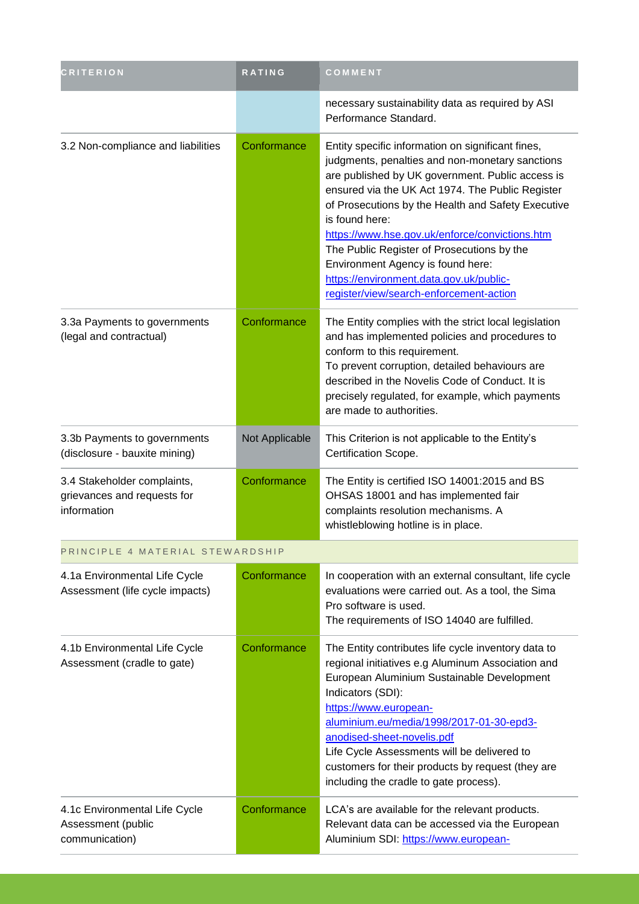| <b>CRITERION</b>                                                          | <b>RATING</b>  | COMMENT                                                                                                                                                                                                                                                                                                                                                                                                                                                                                                         |
|---------------------------------------------------------------------------|----------------|-----------------------------------------------------------------------------------------------------------------------------------------------------------------------------------------------------------------------------------------------------------------------------------------------------------------------------------------------------------------------------------------------------------------------------------------------------------------------------------------------------------------|
|                                                                           |                | necessary sustainability data as required by ASI<br>Performance Standard.                                                                                                                                                                                                                                                                                                                                                                                                                                       |
| 3.2 Non-compliance and liabilities                                        | Conformance    | Entity specific information on significant fines,<br>judgments, penalties and non-monetary sanctions<br>are published by UK government. Public access is<br>ensured via the UK Act 1974. The Public Register<br>of Prosecutions by the Health and Safety Executive<br>is found here:<br>https://www.hse.gov.uk/enforce/convictions.htm<br>The Public Register of Prosecutions by the<br>Environment Agency is found here:<br>https://environment.data.gov.uk/public-<br>register/view/search-enforcement-action |
| 3.3a Payments to governments<br>(legal and contractual)                   | Conformance    | The Entity complies with the strict local legislation<br>and has implemented policies and procedures to<br>conform to this requirement.<br>To prevent corruption, detailed behaviours are<br>described in the Novelis Code of Conduct. It is<br>precisely regulated, for example, which payments<br>are made to authorities.                                                                                                                                                                                    |
| 3.3b Payments to governments<br>(disclosure - bauxite mining)             | Not Applicable | This Criterion is not applicable to the Entity's<br>Certification Scope.                                                                                                                                                                                                                                                                                                                                                                                                                                        |
| 3.4 Stakeholder complaints,<br>grievances and requests for<br>information | Conformance    | The Entity is certified ISO 14001:2015 and BS<br>OHSAS 18001 and has implemented fair<br>complaints resolution mechanisms. A<br>whistleblowing hotline is in place.                                                                                                                                                                                                                                                                                                                                             |
| PRINCIPLE 4 MATERIAL STEWARDSHIP                                          |                |                                                                                                                                                                                                                                                                                                                                                                                                                                                                                                                 |
| 4.1a Environmental Life Cycle<br>Assessment (life cycle impacts)          | Conformance    | In cooperation with an external consultant, life cycle<br>evaluations were carried out. As a tool, the Sima<br>Pro software is used.<br>The requirements of ISO 14040 are fulfilled.                                                                                                                                                                                                                                                                                                                            |
| 4.1b Environmental Life Cycle<br>Assessment (cradle to gate)              | Conformance    | The Entity contributes life cycle inventory data to<br>regional initiatives e.g Aluminum Association and<br>European Aluminium Sustainable Development<br>Indicators (SDI):<br>https://www.european-<br>aluminium.eu/media/1998/2017-01-30-epd3-<br>anodised-sheet-novelis.pdf<br>Life Cycle Assessments will be delivered to<br>customers for their products by request (they are<br>including the cradle to gate process).                                                                                    |
| 4.1c Environmental Life Cycle<br>Assessment (public<br>communication)     | Conformance    | LCA's are available for the relevant products.<br>Relevant data can be accessed via the European<br>Aluminium SDI: https://www.european-                                                                                                                                                                                                                                                                                                                                                                        |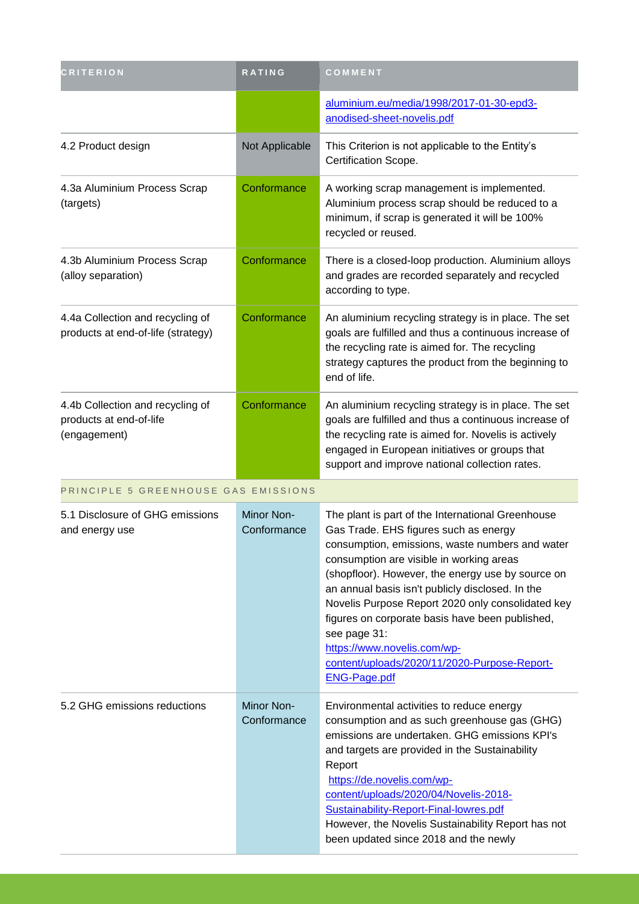| <b>CRITERION</b>                                                            | <b>RATING</b>             | COMMENT                                                                                                                                                                                                                                                                                                                                                                                                                                                                                                                          |
|-----------------------------------------------------------------------------|---------------------------|----------------------------------------------------------------------------------------------------------------------------------------------------------------------------------------------------------------------------------------------------------------------------------------------------------------------------------------------------------------------------------------------------------------------------------------------------------------------------------------------------------------------------------|
|                                                                             |                           | aluminium.eu/media/1998/2017-01-30-epd3-<br>anodised-sheet-novelis.pdf                                                                                                                                                                                                                                                                                                                                                                                                                                                           |
| 4.2 Product design                                                          | Not Applicable            | This Criterion is not applicable to the Entity's<br>Certification Scope.                                                                                                                                                                                                                                                                                                                                                                                                                                                         |
| 4.3a Aluminium Process Scrap<br>(targets)                                   | Conformance               | A working scrap management is implemented.<br>Aluminium process scrap should be reduced to a<br>minimum, if scrap is generated it will be 100%<br>recycled or reused.                                                                                                                                                                                                                                                                                                                                                            |
| 4.3b Aluminium Process Scrap<br>(alloy separation)                          | Conformance               | There is a closed-loop production. Aluminium alloys<br>and grades are recorded separately and recycled<br>according to type.                                                                                                                                                                                                                                                                                                                                                                                                     |
| 4.4a Collection and recycling of<br>products at end-of-life (strategy)      | Conformance               | An aluminium recycling strategy is in place. The set<br>goals are fulfilled and thus a continuous increase of<br>the recycling rate is aimed for. The recycling<br>strategy captures the product from the beginning to<br>end of life.                                                                                                                                                                                                                                                                                           |
| 4.4b Collection and recycling of<br>products at end-of-life<br>(engagement) | Conformance               | An aluminium recycling strategy is in place. The set<br>goals are fulfilled and thus a continuous increase of<br>the recycling rate is aimed for. Novelis is actively<br>engaged in European initiatives or groups that<br>support and improve national collection rates.                                                                                                                                                                                                                                                        |
| PRINCIPLE 5 GREENHOUSE GAS EMISSIONS                                        |                           |                                                                                                                                                                                                                                                                                                                                                                                                                                                                                                                                  |
| 5.1 Disclosure of GHG emissions<br>and energy use                           | Minor Non-<br>Conformance | The plant is part of the International Greenhouse<br>Gas Trade. EHS figures such as energy<br>consumption, emissions, waste numbers and water<br>consumption are visible in working areas<br>(shopfloor). However, the energy use by source on<br>an annual basis isn't publicly disclosed. In the<br>Novelis Purpose Report 2020 only consolidated key<br>figures on corporate basis have been published,<br>see page 31:<br>https://www.novelis.com/wp-<br>content/uploads/2020/11/2020-Purpose-Report-<br><b>ENG-Page.pdf</b> |
| 5.2 GHG emissions reductions                                                | Minor Non-<br>Conformance | Environmental activities to reduce energy<br>consumption and as such greenhouse gas (GHG)<br>emissions are undertaken. GHG emissions KPI's<br>and targets are provided in the Sustainability<br>Report<br>https://de.novelis.com/wp-<br>content/uploads/2020/04/Novelis-2018-<br>Sustainability-Report-Final-lowres.pdf<br>However, the Novelis Sustainability Report has not<br>been updated since 2018 and the newly                                                                                                           |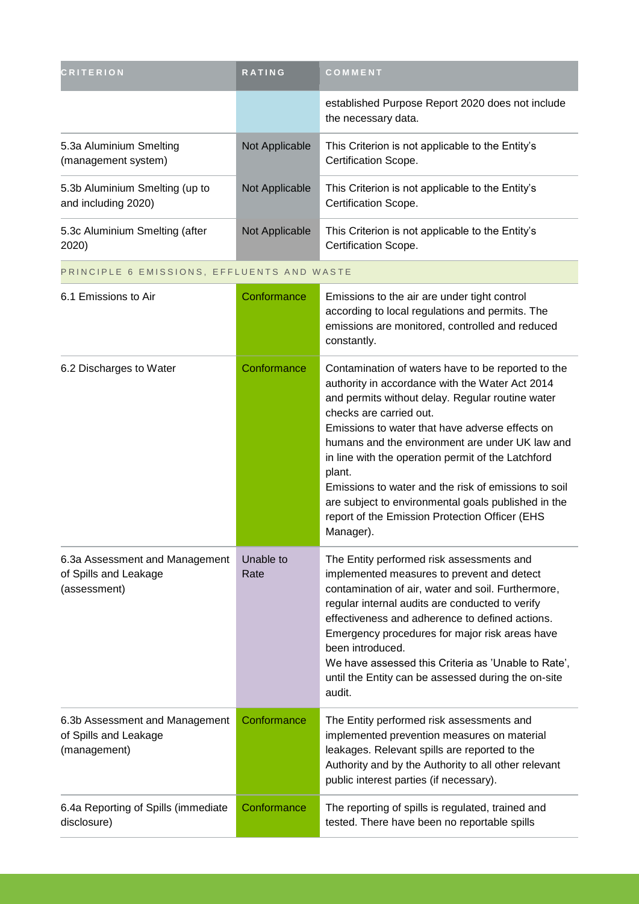| <b>CRITERION</b>                                                        | <b>RATING</b>     | COMMENT                                                                                                                                                                                                                                                                                                                                                                                                                                                                                                                                  |
|-------------------------------------------------------------------------|-------------------|------------------------------------------------------------------------------------------------------------------------------------------------------------------------------------------------------------------------------------------------------------------------------------------------------------------------------------------------------------------------------------------------------------------------------------------------------------------------------------------------------------------------------------------|
|                                                                         |                   | established Purpose Report 2020 does not include<br>the necessary data.                                                                                                                                                                                                                                                                                                                                                                                                                                                                  |
| 5.3a Aluminium Smelting<br>(management system)                          | Not Applicable    | This Criterion is not applicable to the Entity's<br>Certification Scope.                                                                                                                                                                                                                                                                                                                                                                                                                                                                 |
| 5.3b Aluminium Smelting (up to<br>and including 2020)                   | Not Applicable    | This Criterion is not applicable to the Entity's<br>Certification Scope.                                                                                                                                                                                                                                                                                                                                                                                                                                                                 |
| 5.3c Aluminium Smelting (after<br>2020)                                 | Not Applicable    | This Criterion is not applicable to the Entity's<br>Certification Scope.                                                                                                                                                                                                                                                                                                                                                                                                                                                                 |
| PRINCIPLE 6 EMISSIONS, EFFLUENTS AND WASTE                              |                   |                                                                                                                                                                                                                                                                                                                                                                                                                                                                                                                                          |
| 6.1 Emissions to Air                                                    | Conformance       | Emissions to the air are under tight control<br>according to local regulations and permits. The<br>emissions are monitored, controlled and reduced<br>constantly.                                                                                                                                                                                                                                                                                                                                                                        |
| 6.2 Discharges to Water                                                 | Conformance       | Contamination of waters have to be reported to the<br>authority in accordance with the Water Act 2014<br>and permits without delay. Regular routine water<br>checks are carried out.<br>Emissions to water that have adverse effects on<br>humans and the environment are under UK law and<br>in line with the operation permit of the Latchford<br>plant.<br>Emissions to water and the risk of emissions to soil<br>are subject to environmental goals published in the<br>report of the Emission Protection Officer (EHS<br>Manager). |
| 6.3a Assessment and Management<br>of Spills and Leakage<br>(assessment) | Unable to<br>Rate | The Entity performed risk assessments and<br>implemented measures to prevent and detect<br>contamination of air, water and soil. Furthermore,<br>regular internal audits are conducted to verify<br>effectiveness and adherence to defined actions.<br>Emergency procedures for major risk areas have<br>been introduced.<br>We have assessed this Criteria as 'Unable to Rate',<br>until the Entity can be assessed during the on-site<br>audit.                                                                                        |
| 6.3b Assessment and Management<br>of Spills and Leakage<br>(management) | Conformance       | The Entity performed risk assessments and<br>implemented prevention measures on material<br>leakages. Relevant spills are reported to the<br>Authority and by the Authority to all other relevant<br>public interest parties (if necessary).                                                                                                                                                                                                                                                                                             |
| 6.4a Reporting of Spills (immediate<br>disclosure)                      | Conformance       | The reporting of spills is regulated, trained and<br>tested. There have been no reportable spills                                                                                                                                                                                                                                                                                                                                                                                                                                        |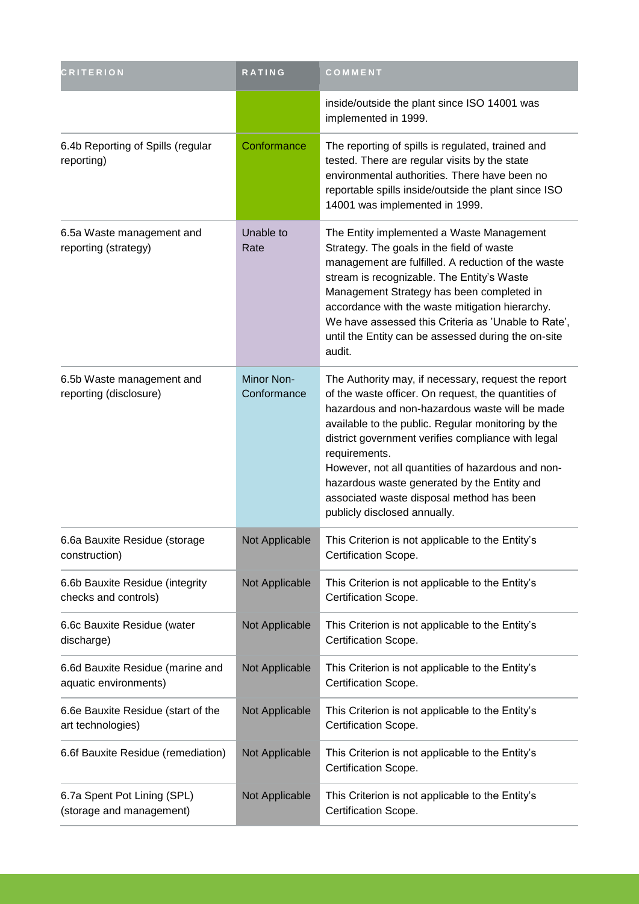| <b>CRITERION</b>                                          | <b>RATING</b>                    | COMMENT                                                                                                                                                                                                                                                                                                                                                                                                                                                                    |
|-----------------------------------------------------------|----------------------------------|----------------------------------------------------------------------------------------------------------------------------------------------------------------------------------------------------------------------------------------------------------------------------------------------------------------------------------------------------------------------------------------------------------------------------------------------------------------------------|
|                                                           |                                  | inside/outside the plant since ISO 14001 was<br>implemented in 1999.                                                                                                                                                                                                                                                                                                                                                                                                       |
| 6.4b Reporting of Spills (regular<br>reporting)           | Conformance                      | The reporting of spills is regulated, trained and<br>tested. There are regular visits by the state<br>environmental authorities. There have been no<br>reportable spills inside/outside the plant since ISO<br>14001 was implemented in 1999.                                                                                                                                                                                                                              |
| 6.5a Waste management and<br>reporting (strategy)         | Unable to<br>Rate                | The Entity implemented a Waste Management<br>Strategy. The goals in the field of waste<br>management are fulfilled. A reduction of the waste<br>stream is recognizable. The Entity's Waste<br>Management Strategy has been completed in<br>accordance with the waste mitigation hierarchy.<br>We have assessed this Criteria as 'Unable to Rate',<br>until the Entity can be assessed during the on-site<br>audit.                                                         |
| 6.5b Waste management and<br>reporting (disclosure)       | <b>Minor Non-</b><br>Conformance | The Authority may, if necessary, request the report<br>of the waste officer. On request, the quantities of<br>hazardous and non-hazardous waste will be made<br>available to the public. Regular monitoring by the<br>district government verifies compliance with legal<br>requirements.<br>However, not all quantities of hazardous and non-<br>hazardous waste generated by the Entity and<br>associated waste disposal method has been<br>publicly disclosed annually. |
| 6.6a Bauxite Residue (storage<br>construction)            | Not Applicable                   | This Criterion is not applicable to the Entity's<br>Certification Scope.                                                                                                                                                                                                                                                                                                                                                                                                   |
| 6.6b Bauxite Residue (integrity<br>checks and controls)   | Not Applicable                   | This Criterion is not applicable to the Entity's<br>Certification Scope.                                                                                                                                                                                                                                                                                                                                                                                                   |
| 6.6c Bauxite Residue (water<br>discharge)                 | Not Applicable                   | This Criterion is not applicable to the Entity's<br>Certification Scope.                                                                                                                                                                                                                                                                                                                                                                                                   |
| 6.6d Bauxite Residue (marine and<br>aquatic environments) | Not Applicable                   | This Criterion is not applicable to the Entity's<br>Certification Scope.                                                                                                                                                                                                                                                                                                                                                                                                   |
| 6.6e Bauxite Residue (start of the<br>art technologies)   | Not Applicable                   | This Criterion is not applicable to the Entity's<br>Certification Scope.                                                                                                                                                                                                                                                                                                                                                                                                   |
| 6.6f Bauxite Residue (remediation)                        | Not Applicable                   | This Criterion is not applicable to the Entity's<br>Certification Scope.                                                                                                                                                                                                                                                                                                                                                                                                   |
| 6.7a Spent Pot Lining (SPL)<br>(storage and management)   | Not Applicable                   | This Criterion is not applicable to the Entity's<br>Certification Scope.                                                                                                                                                                                                                                                                                                                                                                                                   |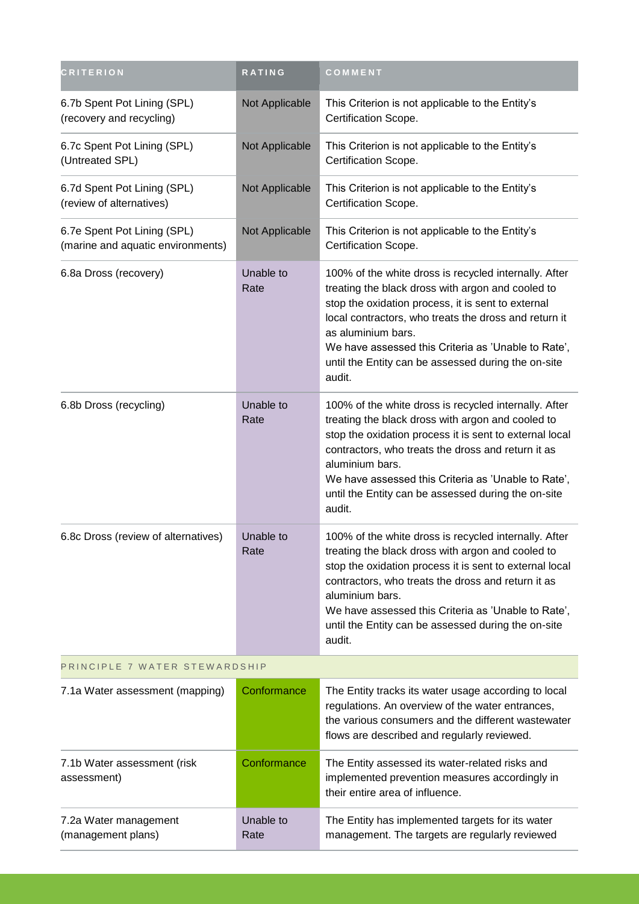| <b>CRITERION</b>                                                 | RATING            | COMMENT                                                                                                                                                                                                                                                                                                                                                                 |
|------------------------------------------------------------------|-------------------|-------------------------------------------------------------------------------------------------------------------------------------------------------------------------------------------------------------------------------------------------------------------------------------------------------------------------------------------------------------------------|
| 6.7b Spent Pot Lining (SPL)<br>(recovery and recycling)          | Not Applicable    | This Criterion is not applicable to the Entity's<br>Certification Scope.                                                                                                                                                                                                                                                                                                |
| 6.7c Spent Pot Lining (SPL)<br>(Untreated SPL)                   | Not Applicable    | This Criterion is not applicable to the Entity's<br>Certification Scope.                                                                                                                                                                                                                                                                                                |
| 6.7d Spent Pot Lining (SPL)<br>(review of alternatives)          | Not Applicable    | This Criterion is not applicable to the Entity's<br>Certification Scope.                                                                                                                                                                                                                                                                                                |
| 6.7e Spent Pot Lining (SPL)<br>(marine and aquatic environments) | Not Applicable    | This Criterion is not applicable to the Entity's<br>Certification Scope.                                                                                                                                                                                                                                                                                                |
| 6.8a Dross (recovery)                                            | Unable to<br>Rate | 100% of the white dross is recycled internally. After<br>treating the black dross with argon and cooled to<br>stop the oxidation process, it is sent to external<br>local contractors, who treats the dross and return it<br>as aluminium bars.<br>We have assessed this Criteria as 'Unable to Rate',<br>until the Entity can be assessed during the on-site<br>audit. |
| 6.8b Dross (recycling)                                           | Unable to<br>Rate | 100% of the white dross is recycled internally. After<br>treating the black dross with argon and cooled to<br>stop the oxidation process it is sent to external local<br>contractors, who treats the dross and return it as<br>aluminium bars.<br>We have assessed this Criteria as 'Unable to Rate',<br>until the Entity can be assessed during the on-site<br>audit.  |
| 6.8c Dross (review of alternatives)                              | Unable to<br>Rate | 100% of the white dross is recycled internally. After<br>treating the black dross with argon and cooled to<br>stop the oxidation process it is sent to external local<br>contractors, who treats the dross and return it as<br>aluminium bars.<br>We have assessed this Criteria as 'Unable to Rate',<br>until the Entity can be assessed during the on-site<br>audit.  |
| PRINCIPLE 7 WATER STEWARDSHIP                                    |                   |                                                                                                                                                                                                                                                                                                                                                                         |
| 7.1a Water assessment (mapping)                                  | Conformance       | The Entity tracks its water usage according to local<br>regulations. An overview of the water entrances,<br>the various consumers and the different wastewater<br>flows are described and regularly reviewed.                                                                                                                                                           |
| 7.1b Water assessment (risk<br>assessment)                       | Conformance       | The Entity assessed its water-related risks and<br>implemented prevention measures accordingly in<br>their entire area of influence.                                                                                                                                                                                                                                    |
| 7.2a Water management<br>(management plans)                      | Unable to<br>Rate | The Entity has implemented targets for its water<br>management. The targets are regularly reviewed                                                                                                                                                                                                                                                                      |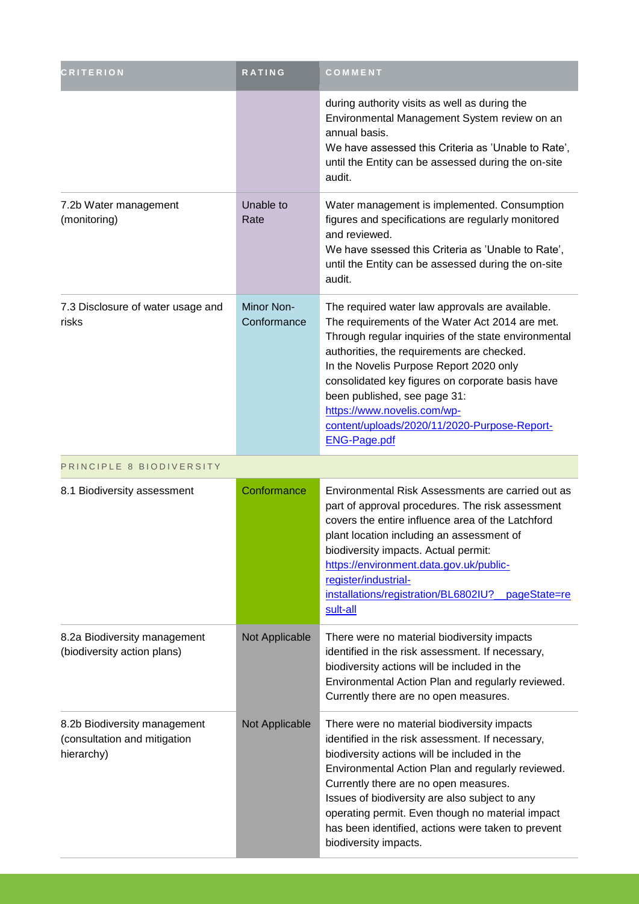| <b>CRITERION</b>                                                           | <b>RATING</b>             | COMMENT                                                                                                                                                                                                                                                                                                                                                                                                                                       |
|----------------------------------------------------------------------------|---------------------------|-----------------------------------------------------------------------------------------------------------------------------------------------------------------------------------------------------------------------------------------------------------------------------------------------------------------------------------------------------------------------------------------------------------------------------------------------|
|                                                                            |                           | during authority visits as well as during the<br>Environmental Management System review on an<br>annual basis.<br>We have assessed this Criteria as 'Unable to Rate',<br>until the Entity can be assessed during the on-site<br>audit.                                                                                                                                                                                                        |
| 7.2b Water management<br>(monitoring)                                      | Unable to<br>Rate         | Water management is implemented. Consumption<br>figures and specifications are regularly monitored<br>and reviewed.<br>We have ssessed this Criteria as 'Unable to Rate',<br>until the Entity can be assessed during the on-site<br>audit.                                                                                                                                                                                                    |
| 7.3 Disclosure of water usage and<br>risks                                 | Minor Non-<br>Conformance | The required water law approvals are available.<br>The requirements of the Water Act 2014 are met.<br>Through regular inquiries of the state environmental<br>authorities, the requirements are checked.<br>In the Novelis Purpose Report 2020 only<br>consolidated key figures on corporate basis have<br>been published, see page 31:<br>https://www.novelis.com/wp-<br>content/uploads/2020/11/2020-Purpose-Report-<br><b>ENG-Page.pdf</b> |
| PRINCIPLE 8 BIODIVERSITY                                                   |                           |                                                                                                                                                                                                                                                                                                                                                                                                                                               |
| 8.1 Biodiversity assessment                                                | Conformance               | Environmental Risk Assessments are carried out as<br>part of approval procedures. The risk assessment<br>covers the entire influence area of the Latchford<br>plant location including an assessment of<br>biodiversity impacts. Actual permit:<br>https://environment.data.gov.uk/public-<br>register/industrial-<br>installations/registration/BL6802IU?<br><u>pageState=re</u><br>sult-all                                                 |
| 8.2a Biodiversity management<br>(biodiversity action plans)                | Not Applicable            | There were no material biodiversity impacts<br>identified in the risk assessment. If necessary,<br>biodiversity actions will be included in the<br>Environmental Action Plan and regularly reviewed.<br>Currently there are no open measures.                                                                                                                                                                                                 |
| 8.2b Biodiversity management<br>(consultation and mitigation<br>hierarchy) | Not Applicable            | There were no material biodiversity impacts<br>identified in the risk assessment. If necessary,<br>biodiversity actions will be included in the<br>Environmental Action Plan and regularly reviewed.<br>Currently there are no open measures.<br>Issues of biodiversity are also subject to any<br>operating permit. Even though no material impact<br>has been identified, actions were taken to prevent<br>biodiversity impacts.            |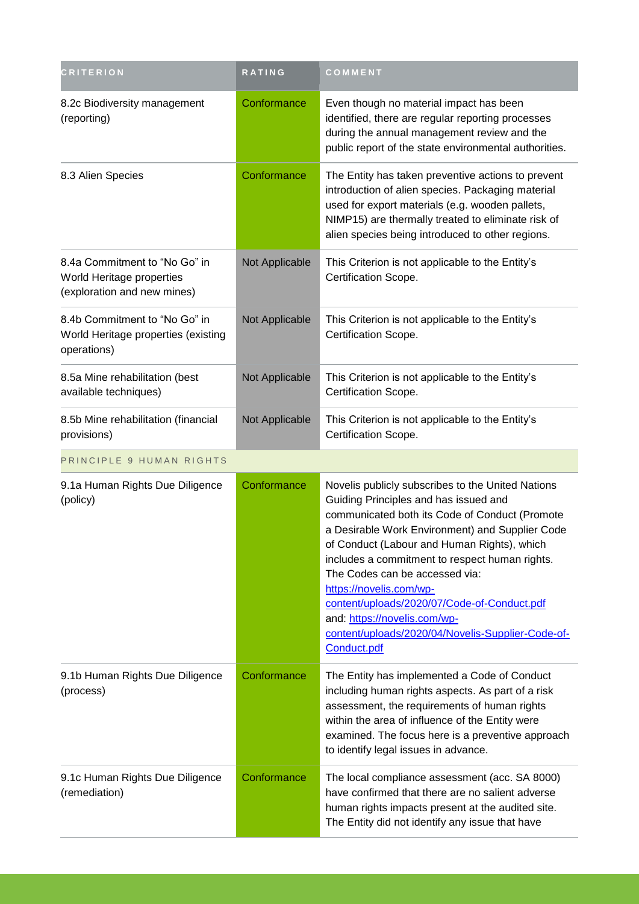| <b>CRITERION</b>                                                                          | <b>RATING</b>  | COMMENT                                                                                                                                                                                                                                                                                                                                                                                                                                                                                                          |
|-------------------------------------------------------------------------------------------|----------------|------------------------------------------------------------------------------------------------------------------------------------------------------------------------------------------------------------------------------------------------------------------------------------------------------------------------------------------------------------------------------------------------------------------------------------------------------------------------------------------------------------------|
| 8.2c Biodiversity management<br>(reporting)                                               | Conformance    | Even though no material impact has been<br>identified, there are regular reporting processes<br>during the annual management review and the<br>public report of the state environmental authorities.                                                                                                                                                                                                                                                                                                             |
| 8.3 Alien Species                                                                         | Conformance    | The Entity has taken preventive actions to prevent<br>introduction of alien species. Packaging material<br>used for export materials (e.g. wooden pallets,<br>NIMP15) are thermally treated to eliminate risk of<br>alien species being introduced to other regions.                                                                                                                                                                                                                                             |
| 8.4a Commitment to "No Go" in<br>World Heritage properties<br>(exploration and new mines) | Not Applicable | This Criterion is not applicable to the Entity's<br>Certification Scope.                                                                                                                                                                                                                                                                                                                                                                                                                                         |
| 8.4b Commitment to "No Go" in<br>World Heritage properties (existing<br>operations)       | Not Applicable | This Criterion is not applicable to the Entity's<br>Certification Scope.                                                                                                                                                                                                                                                                                                                                                                                                                                         |
| 8.5a Mine rehabilitation (best<br>available techniques)                                   | Not Applicable | This Criterion is not applicable to the Entity's<br>Certification Scope.                                                                                                                                                                                                                                                                                                                                                                                                                                         |
| 8.5b Mine rehabilitation (financial<br>provisions)                                        | Not Applicable | This Criterion is not applicable to the Entity's<br>Certification Scope.                                                                                                                                                                                                                                                                                                                                                                                                                                         |
| PRINCIPLE 9 HUMAN RIGHTS                                                                  |                |                                                                                                                                                                                                                                                                                                                                                                                                                                                                                                                  |
| 9.1a Human Rights Due Diligence<br>(policy)                                               | Conformance    | Novelis publicly subscribes to the United Nations<br>Guiding Principles and has issued and<br>communicated both its Code of Conduct (Promote<br>a Desirable Work Environment) and Supplier Code<br>of Conduct (Labour and Human Rights), which<br>includes a commitment to respect human rights.<br>The Codes can be accessed via:<br>https://novelis.com/wp-<br>content/uploads/2020/07/Code-of-Conduct.pdf<br>and: https://novelis.com/wp-<br>content/uploads/2020/04/Novelis-Supplier-Code-of-<br>Conduct.pdf |
| 9.1b Human Rights Due Diligence<br>(process)                                              | Conformance    | The Entity has implemented a Code of Conduct<br>including human rights aspects. As part of a risk<br>assessment, the requirements of human rights<br>within the area of influence of the Entity were<br>examined. The focus here is a preventive approach<br>to identify legal issues in advance.                                                                                                                                                                                                                |
| 9.1c Human Rights Due Diligence<br>(remediation)                                          | Conformance    | The local compliance assessment (acc. SA 8000)<br>have confirmed that there are no salient adverse<br>human rights impacts present at the audited site.<br>The Entity did not identify any issue that have                                                                                                                                                                                                                                                                                                       |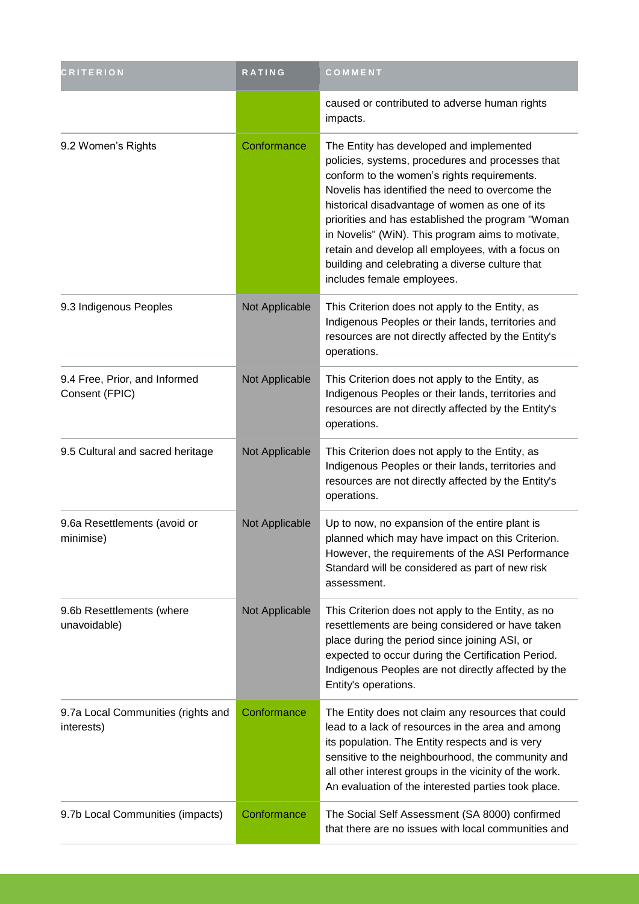| <b>CRITERION</b>                                 | RATING         | COMMENT                                                                                                                                                                                                                                                                                                                                                                                                                                                                                          |
|--------------------------------------------------|----------------|--------------------------------------------------------------------------------------------------------------------------------------------------------------------------------------------------------------------------------------------------------------------------------------------------------------------------------------------------------------------------------------------------------------------------------------------------------------------------------------------------|
|                                                  |                | caused or contributed to adverse human rights<br>impacts.                                                                                                                                                                                                                                                                                                                                                                                                                                        |
| 9.2 Women's Rights                               | Conformance    | The Entity has developed and implemented<br>policies, systems, procedures and processes that<br>conform to the women's rights requirements.<br>Novelis has identified the need to overcome the<br>historical disadvantage of women as one of its<br>priorities and has established the program "Woman<br>in Novelis" (WiN). This program aims to motivate,<br>retain and develop all employees, with a focus on<br>building and celebrating a diverse culture that<br>includes female employees. |
| 9.3 Indigenous Peoples                           | Not Applicable | This Criterion does not apply to the Entity, as<br>Indigenous Peoples or their lands, territories and<br>resources are not directly affected by the Entity's<br>operations.                                                                                                                                                                                                                                                                                                                      |
| 9.4 Free, Prior, and Informed<br>Consent (FPIC)  | Not Applicable | This Criterion does not apply to the Entity, as<br>Indigenous Peoples or their lands, territories and<br>resources are not directly affected by the Entity's<br>operations.                                                                                                                                                                                                                                                                                                                      |
| 9.5 Cultural and sacred heritage                 | Not Applicable | This Criterion does not apply to the Entity, as<br>Indigenous Peoples or their lands, territories and<br>resources are not directly affected by the Entity's<br>operations.                                                                                                                                                                                                                                                                                                                      |
| 9.6a Resettlements (avoid or<br>minimise)        | Not Applicable | Up to now, no expansion of the entire plant is<br>planned which may have impact on this Criterion.<br>However, the requirements of the ASI Performance<br>Standard will be considered as part of new risk<br>assessment.                                                                                                                                                                                                                                                                         |
| 9.6b Resettlements (where<br>unavoidable)        | Not Applicable | This Criterion does not apply to the Entity, as no<br>resettlements are being considered or have taken<br>place during the period since joining ASI, or<br>expected to occur during the Certification Period.<br>Indigenous Peoples are not directly affected by the<br>Entity's operations.                                                                                                                                                                                                     |
| 9.7a Local Communities (rights and<br>interests) | Conformance    | The Entity does not claim any resources that could<br>lead to a lack of resources in the area and among<br>its population. The Entity respects and is very<br>sensitive to the neighbourhood, the community and<br>all other interest groups in the vicinity of the work.<br>An evaluation of the interested parties took place.                                                                                                                                                                 |
| 9.7b Local Communities (impacts)                 | Conformance    | The Social Self Assessment (SA 8000) confirmed<br>that there are no issues with local communities and                                                                                                                                                                                                                                                                                                                                                                                            |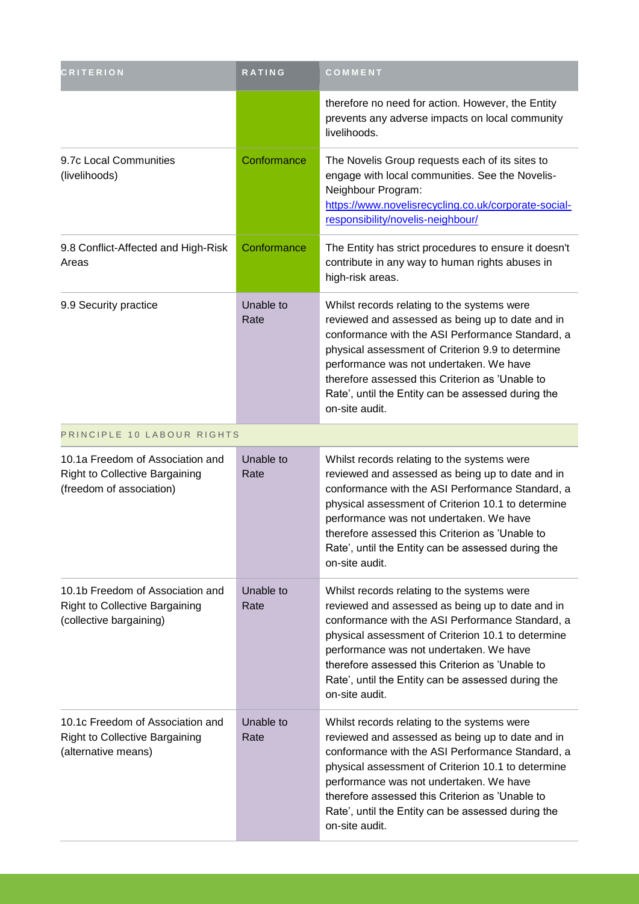| <b>CRITERION</b>                                                                                      | <b>RATING</b>     | COMMENT                                                                                                                                                                                                                                                                                                                                                                         |
|-------------------------------------------------------------------------------------------------------|-------------------|---------------------------------------------------------------------------------------------------------------------------------------------------------------------------------------------------------------------------------------------------------------------------------------------------------------------------------------------------------------------------------|
|                                                                                                       |                   | therefore no need for action. However, the Entity<br>prevents any adverse impacts on local community<br>livelihoods.                                                                                                                                                                                                                                                            |
| 9.7c Local Communities<br>(livelihoods)                                                               | Conformance       | The Novelis Group requests each of its sites to<br>engage with local communities. See the Novelis-<br>Neighbour Program:<br>https://www.novelisrecycling.co.uk/corporate-social-<br>responsibility/novelis-neighbour/                                                                                                                                                           |
| 9.8 Conflict-Affected and High-Risk<br>Areas                                                          | Conformance       | The Entity has strict procedures to ensure it doesn't<br>contribute in any way to human rights abuses in<br>high-risk areas.                                                                                                                                                                                                                                                    |
| 9.9 Security practice                                                                                 | Unable to<br>Rate | Whilst records relating to the systems were<br>reviewed and assessed as being up to date and in<br>conformance with the ASI Performance Standard, a<br>physical assessment of Criterion 9.9 to determine<br>performance was not undertaken. We have<br>therefore assessed this Criterion as 'Unable to<br>Rate', until the Entity can be assessed during the<br>on-site audit.  |
| PRINCIPLE 10 LABOUR RIGHTS                                                                            |                   |                                                                                                                                                                                                                                                                                                                                                                                 |
| 10.1a Freedom of Association and<br><b>Right to Collective Bargaining</b><br>(freedom of association) | Unable to<br>Rate | Whilst records relating to the systems were<br>reviewed and assessed as being up to date and in<br>conformance with the ASI Performance Standard, a<br>physical assessment of Criterion 10.1 to determine<br>performance was not undertaken. We have<br>therefore assessed this Criterion as 'Unable to<br>Rate', until the Entity can be assessed during the<br>on-site audit. |
| 10.1b Freedom of Association and<br><b>Right to Collective Bargaining</b><br>(collective bargaining)  | Unable to<br>Rate | Whilst records relating to the systems were<br>reviewed and assessed as being up to date and in<br>conformance with the ASI Performance Standard, a<br>physical assessment of Criterion 10.1 to determine<br>performance was not undertaken. We have<br>therefore assessed this Criterion as 'Unable to<br>Rate', until the Entity can be assessed during the<br>on-site audit. |
| 10.1c Freedom of Association and<br><b>Right to Collective Bargaining</b><br>(alternative means)      | Unable to<br>Rate | Whilst records relating to the systems were<br>reviewed and assessed as being up to date and in<br>conformance with the ASI Performance Standard, a<br>physical assessment of Criterion 10.1 to determine<br>performance was not undertaken. We have<br>therefore assessed this Criterion as 'Unable to<br>Rate', until the Entity can be assessed during the<br>on-site audit. |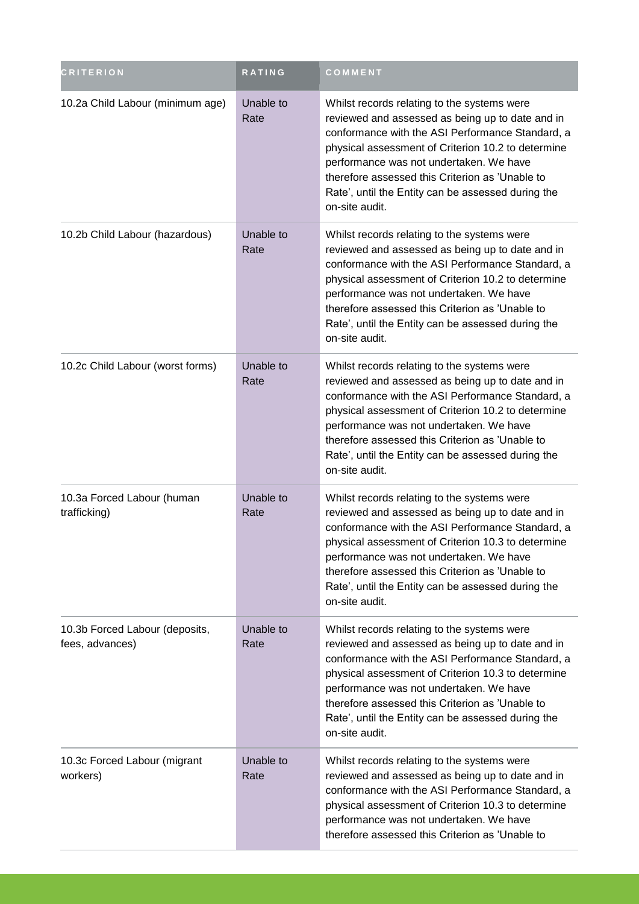| <b>CRITERION</b>                                  | <b>RATING</b>     | COMMENT                                                                                                                                                                                                                                                                                                                                                                         |
|---------------------------------------------------|-------------------|---------------------------------------------------------------------------------------------------------------------------------------------------------------------------------------------------------------------------------------------------------------------------------------------------------------------------------------------------------------------------------|
| 10.2a Child Labour (minimum age)                  | Unable to<br>Rate | Whilst records relating to the systems were<br>reviewed and assessed as being up to date and in<br>conformance with the ASI Performance Standard, a<br>physical assessment of Criterion 10.2 to determine<br>performance was not undertaken. We have<br>therefore assessed this Criterion as 'Unable to<br>Rate', until the Entity can be assessed during the<br>on-site audit. |
| 10.2b Child Labour (hazardous)                    | Unable to<br>Rate | Whilst records relating to the systems were<br>reviewed and assessed as being up to date and in<br>conformance with the ASI Performance Standard, a<br>physical assessment of Criterion 10.2 to determine<br>performance was not undertaken. We have<br>therefore assessed this Criterion as 'Unable to<br>Rate', until the Entity can be assessed during the<br>on-site audit. |
| 10.2c Child Labour (worst forms)                  | Unable to<br>Rate | Whilst records relating to the systems were<br>reviewed and assessed as being up to date and in<br>conformance with the ASI Performance Standard, a<br>physical assessment of Criterion 10.2 to determine<br>performance was not undertaken. We have<br>therefore assessed this Criterion as 'Unable to<br>Rate', until the Entity can be assessed during the<br>on-site audit. |
| 10.3a Forced Labour (human<br>trafficking)        | Unable to<br>Rate | Whilst records relating to the systems were<br>reviewed and assessed as being up to date and in<br>conformance with the ASI Performance Standard, a<br>physical assessment of Criterion 10.3 to determine<br>performance was not undertaken. We have<br>therefore assessed this Criterion as 'Unable to<br>Rate', until the Entity can be assessed during the<br>on-site audit. |
| 10.3b Forced Labour (deposits,<br>fees, advances) | Unable to<br>Rate | Whilst records relating to the systems were<br>reviewed and assessed as being up to date and in<br>conformance with the ASI Performance Standard, a<br>physical assessment of Criterion 10.3 to determine<br>performance was not undertaken. We have<br>therefore assessed this Criterion as 'Unable to<br>Rate', until the Entity can be assessed during the<br>on-site audit. |
| 10.3c Forced Labour (migrant<br>workers)          | Unable to<br>Rate | Whilst records relating to the systems were<br>reviewed and assessed as being up to date and in<br>conformance with the ASI Performance Standard, a<br>physical assessment of Criterion 10.3 to determine<br>performance was not undertaken. We have<br>therefore assessed this Criterion as 'Unable to                                                                         |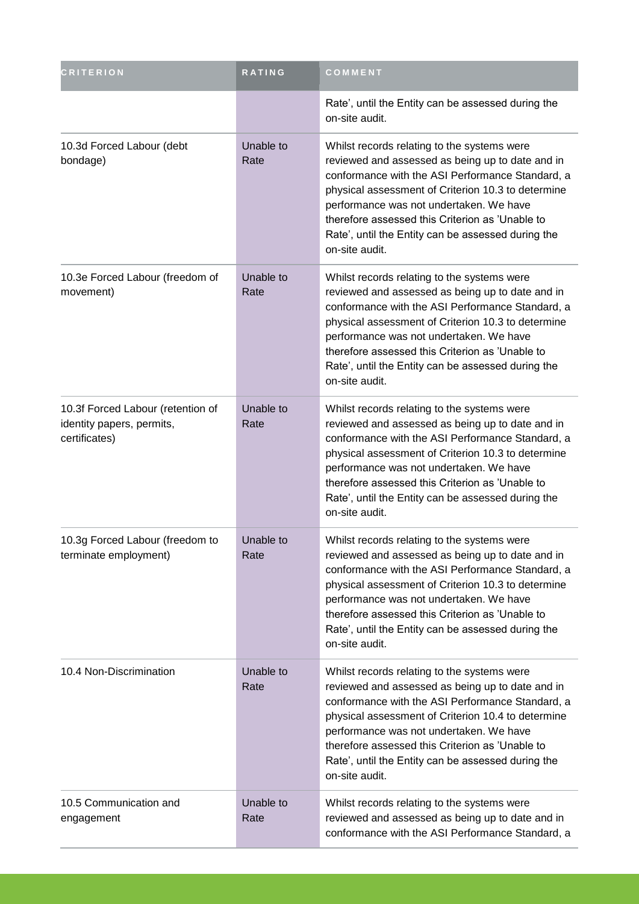| <b>CRITERION</b>                                                                | <b>RATING</b>     | COMMENT                                                                                                                                                                                                                                                                                                                                                                         |
|---------------------------------------------------------------------------------|-------------------|---------------------------------------------------------------------------------------------------------------------------------------------------------------------------------------------------------------------------------------------------------------------------------------------------------------------------------------------------------------------------------|
|                                                                                 |                   | Rate', until the Entity can be assessed during the<br>on-site audit.                                                                                                                                                                                                                                                                                                            |
| 10.3d Forced Labour (debt<br>bondage)                                           | Unable to<br>Rate | Whilst records relating to the systems were<br>reviewed and assessed as being up to date and in<br>conformance with the ASI Performance Standard, a<br>physical assessment of Criterion 10.3 to determine<br>performance was not undertaken. We have<br>therefore assessed this Criterion as 'Unable to<br>Rate', until the Entity can be assessed during the<br>on-site audit. |
| 10.3e Forced Labour (freedom of<br>movement)                                    | Unable to<br>Rate | Whilst records relating to the systems were<br>reviewed and assessed as being up to date and in<br>conformance with the ASI Performance Standard, a<br>physical assessment of Criterion 10.3 to determine<br>performance was not undertaken. We have<br>therefore assessed this Criterion as 'Unable to<br>Rate', until the Entity can be assessed during the<br>on-site audit. |
| 10.3f Forced Labour (retention of<br>identity papers, permits,<br>certificates) | Unable to<br>Rate | Whilst records relating to the systems were<br>reviewed and assessed as being up to date and in<br>conformance with the ASI Performance Standard, a<br>physical assessment of Criterion 10.3 to determine<br>performance was not undertaken. We have<br>therefore assessed this Criterion as 'Unable to<br>Rate', until the Entity can be assessed during the<br>on-site audit. |
| 10.3g Forced Labour (freedom to<br>terminate employment)                        | Unable to<br>Rate | Whilst records relating to the systems were<br>reviewed and assessed as being up to date and in<br>conformance with the ASI Performance Standard, a<br>physical assessment of Criterion 10.3 to determine<br>performance was not undertaken. We have<br>therefore assessed this Criterion as 'Unable to<br>Rate', until the Entity can be assessed during the<br>on-site audit. |
| 10.4 Non-Discrimination                                                         | Unable to<br>Rate | Whilst records relating to the systems were<br>reviewed and assessed as being up to date and in<br>conformance with the ASI Performance Standard, a<br>physical assessment of Criterion 10.4 to determine<br>performance was not undertaken. We have<br>therefore assessed this Criterion as 'Unable to<br>Rate', until the Entity can be assessed during the<br>on-site audit. |
| 10.5 Communication and<br>engagement                                            | Unable to<br>Rate | Whilst records relating to the systems were<br>reviewed and assessed as being up to date and in<br>conformance with the ASI Performance Standard, a                                                                                                                                                                                                                             |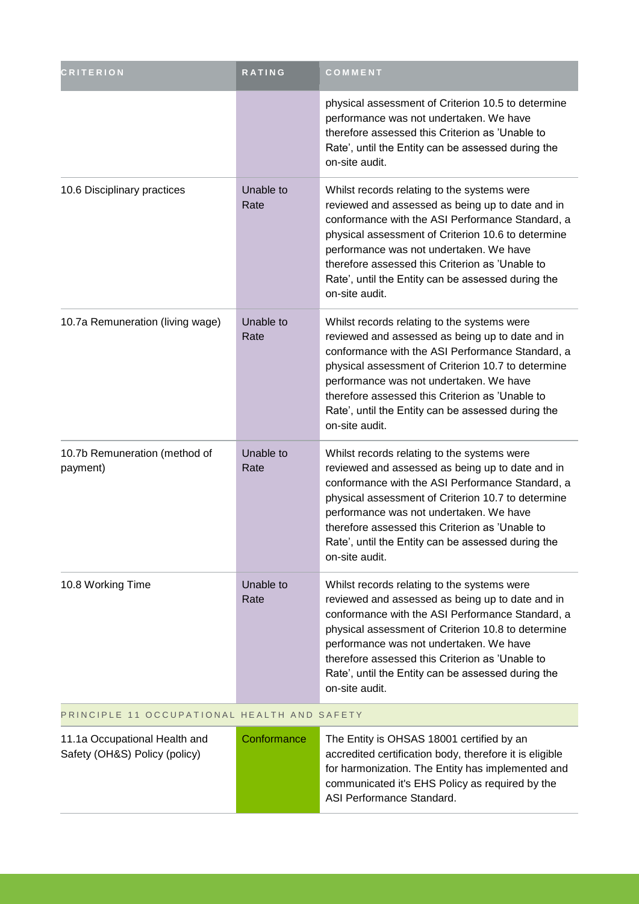| <b>CRITERION</b>                            | <b>RATING</b>     | COMMENT                                                                                                                                                                                                                                                                                                                                                                         |
|---------------------------------------------|-------------------|---------------------------------------------------------------------------------------------------------------------------------------------------------------------------------------------------------------------------------------------------------------------------------------------------------------------------------------------------------------------------------|
|                                             |                   | physical assessment of Criterion 10.5 to determine<br>performance was not undertaken. We have<br>therefore assessed this Criterion as 'Unable to<br>Rate', until the Entity can be assessed during the<br>on-site audit.                                                                                                                                                        |
| 10.6 Disciplinary practices                 | Unable to<br>Rate | Whilst records relating to the systems were<br>reviewed and assessed as being up to date and in<br>conformance with the ASI Performance Standard, a<br>physical assessment of Criterion 10.6 to determine<br>performance was not undertaken. We have<br>therefore assessed this Criterion as 'Unable to<br>Rate', until the Entity can be assessed during the<br>on-site audit. |
| 10.7a Remuneration (living wage)            | Unable to<br>Rate | Whilst records relating to the systems were<br>reviewed and assessed as being up to date and in<br>conformance with the ASI Performance Standard, a<br>physical assessment of Criterion 10.7 to determine<br>performance was not undertaken. We have<br>therefore assessed this Criterion as 'Unable to<br>Rate', until the Entity can be assessed during the<br>on-site audit. |
| 10.7b Remuneration (method of<br>payment)   | Unable to<br>Rate | Whilst records relating to the systems were<br>reviewed and assessed as being up to date and in<br>conformance with the ASI Performance Standard, a<br>physical assessment of Criterion 10.7 to determine<br>performance was not undertaken. We have<br>therefore assessed this Criterion as 'Unable to<br>Rate', until the Entity can be assessed during the<br>on-site audit. |
| 10.8 Working Time                           | Unable to<br>Rate | Whilst records relating to the systems were<br>reviewed and assessed as being up to date and in<br>conformance with the ASI Performance Standard, a<br>physical assessment of Criterion 10.8 to determine<br>performance was not undertaken. We have<br>therefore assessed this Criterion as 'Unable to<br>Rate', until the Entity can be assessed during the<br>on-site audit. |
| PRINCIPLE 11 OCCUPATIONAL HEALTH AND SAFETY |                   |                                                                                                                                                                                                                                                                                                                                                                                 |
| 11.1a Occupational Health and               | Conformance       | The Entity is OHSAS 18001 certified by an                                                                                                                                                                                                                                                                                                                                       |

| 11.1a Occupational Health and | Conformance | The Entity is OHSAS 18001 certified by an               |
|-------------------------------|-------------|---------------------------------------------------------|
| Safety (OH&S) Policy (policy) |             | accredited certification body, therefore it is eligible |
|                               |             | for harmonization. The Entity has implemented and       |
|                               |             | communicated it's EHS Policy as required by the         |
|                               |             | ASI Performance Standard.                               |
|                               |             |                                                         |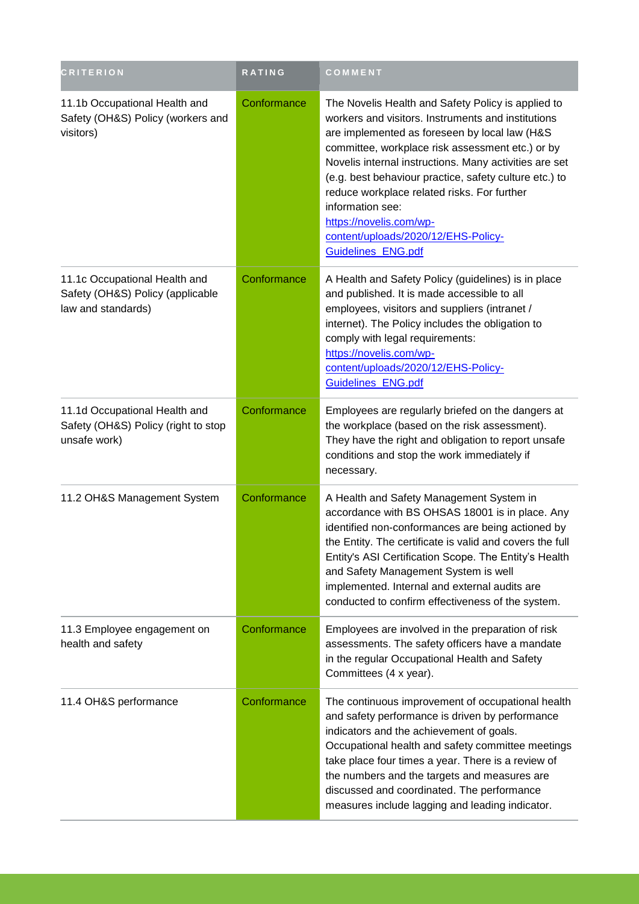| <b>CRITERION</b>                                                                        | <b>RATING</b> | COMMENT                                                                                                                                                                                                                                                                                                                                                                                                                                                                                      |
|-----------------------------------------------------------------------------------------|---------------|----------------------------------------------------------------------------------------------------------------------------------------------------------------------------------------------------------------------------------------------------------------------------------------------------------------------------------------------------------------------------------------------------------------------------------------------------------------------------------------------|
| 11.1b Occupational Health and<br>Safety (OH&S) Policy (workers and<br>visitors)         | Conformance   | The Novelis Health and Safety Policy is applied to<br>workers and visitors. Instruments and institutions<br>are implemented as foreseen by local law (H&S<br>committee, workplace risk assessment etc.) or by<br>Novelis internal instructions. Many activities are set<br>(e.g. best behaviour practice, safety culture etc.) to<br>reduce workplace related risks. For further<br>information see:<br>https://novelis.com/wp-<br>content/uploads/2020/12/EHS-Policy-<br>Guidelines_ENG.pdf |
| 11.1c Occupational Health and<br>Safety (OH&S) Policy (applicable<br>law and standards) | Conformance   | A Health and Safety Policy (guidelines) is in place<br>and published. It is made accessible to all<br>employees, visitors and suppliers (intranet /<br>internet). The Policy includes the obligation to<br>comply with legal requirements:<br>https://novelis.com/wp-<br>content/uploads/2020/12/EHS-Policy-<br>Guidelines ENG.pdf                                                                                                                                                           |
| 11.1d Occupational Health and<br>Safety (OH&S) Policy (right to stop<br>unsafe work)    | Conformance   | Employees are regularly briefed on the dangers at<br>the workplace (based on the risk assessment).<br>They have the right and obligation to report unsafe<br>conditions and stop the work immediately if<br>necessary.                                                                                                                                                                                                                                                                       |
| 11.2 OH&S Management System                                                             | Conformance   | A Health and Safety Management System in<br>accordance with BS OHSAS 18001 is in place. Any<br>identified non-conformances are being actioned by<br>the Entity. The certificate is valid and covers the full<br>Entity's ASI Certification Scope. The Entity's Health<br>and Safety Management System is well<br>implemented. Internal and external audits are<br>conducted to confirm effectiveness of the system.                                                                          |
| 11.3 Employee engagement on<br>health and safety                                        | Conformance   | Employees are involved in the preparation of risk<br>assessments. The safety officers have a mandate<br>in the regular Occupational Health and Safety<br>Committees (4 x year).                                                                                                                                                                                                                                                                                                              |
| 11.4 OH&S performance                                                                   | Conformance   | The continuous improvement of occupational health<br>and safety performance is driven by performance<br>indicators and the achievement of goals.<br>Occupational health and safety committee meetings<br>take place four times a year. There is a review of<br>the numbers and the targets and measures are<br>discussed and coordinated. The performance<br>measures include lagging and leading indicator.                                                                                 |